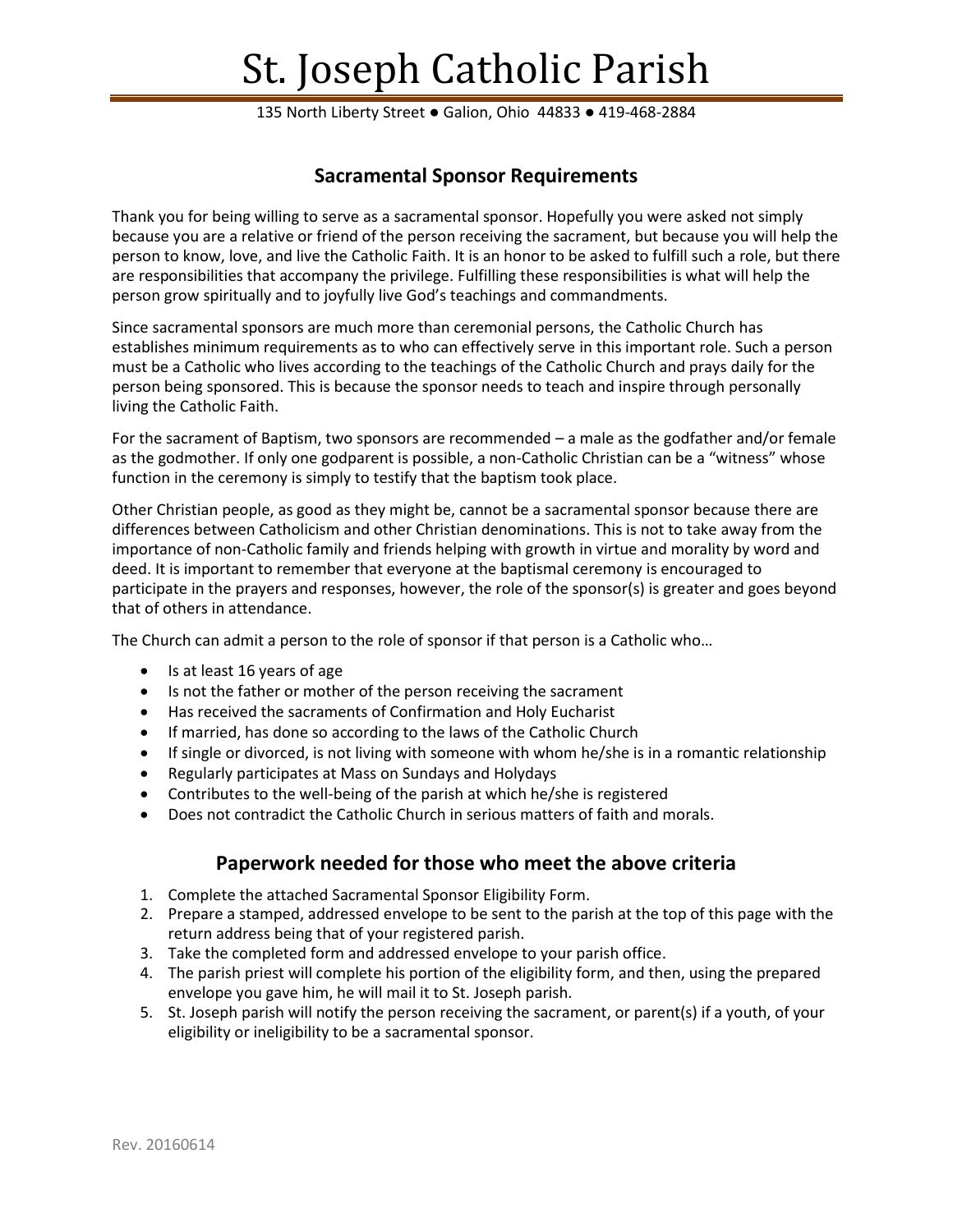# St. Joseph Catholic Parish

135 North Liberty Street ● Galion, Ohio 44833 ● 419-468-2884

## **Sacramental Sponsor Requirements**

Thank you for being willing to serve as a sacramental sponsor. Hopefully you were asked not simply because you are a relative or friend of the person receiving the sacrament, but because you will help the person to know, love, and live the Catholic Faith. It is an honor to be asked to fulfill such a role, but there are responsibilities that accompany the privilege. Fulfilling these responsibilities is what will help the person grow spiritually and to joyfully live God's teachings and commandments.

Since sacramental sponsors are much more than ceremonial persons, the Catholic Church has establishes minimum requirements as to who can effectively serve in this important role. Such a person must be a Catholic who lives according to the teachings of the Catholic Church and prays daily for the person being sponsored. This is because the sponsor needs to teach and inspire through personally living the Catholic Faith.

For the sacrament of Baptism, two sponsors are recommended – a male as the godfather and/or female as the godmother. If only one godparent is possible, a non-Catholic Christian can be a "witness" whose function in the ceremony is simply to testify that the baptism took place.

Other Christian people, as good as they might be, cannot be a sacramental sponsor because there are differences between Catholicism and other Christian denominations. This is not to take away from the importance of non-Catholic family and friends helping with growth in virtue and morality by word and deed. It is important to remember that everyone at the baptismal ceremony is encouraged to participate in the prayers and responses, however, the role of the sponsor(s) is greater and goes beyond that of others in attendance.

The Church can admit a person to the role of sponsor if that person is a Catholic who…

- Is at least 16 years of age
- Is not the father or mother of the person receiving the sacrament
- Has received the sacraments of Confirmation and Holy Eucharist
- If married, has done so according to the laws of the Catholic Church
- If single or divorced, is not living with someone with whom he/she is in a romantic relationship
- Regularly participates at Mass on Sundays and Holydays
- Contributes to the well-being of the parish at which he/she is registered
- Does not contradict the Catholic Church in serious matters of faith and morals.

### **Paperwork needed for those who meet the above criteria**

- 1. Complete the attached Sacramental Sponsor Eligibility Form.
- 2. Prepare a stamped, addressed envelope to be sent to the parish at the top of this page with the return address being that of your registered parish.
- 3. Take the completed form and addressed envelope to your parish office.
- 4. The parish priest will complete his portion of the eligibility form, and then, using the prepared envelope you gave him, he will mail it to St. Joseph parish.
- 5. St. Joseph parish will notify the person receiving the sacrament, or parent(s) if a youth, of your eligibility or ineligibility to be a sacramental sponsor.